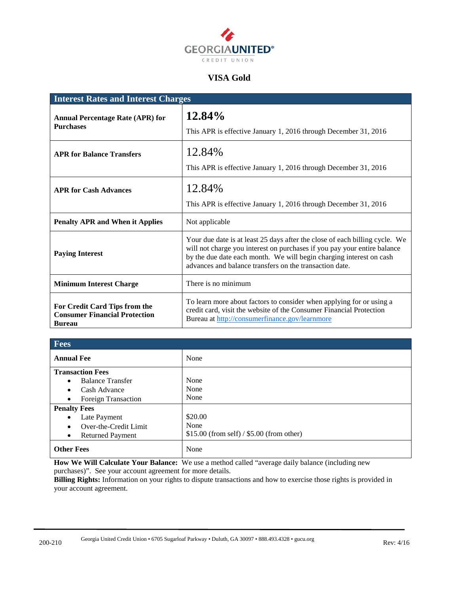

### **VISA Gold**

| <b>Interest Rates and Interest Charges</b>                                             |                                                                                                                                                                                                                                                                                           |  |
|----------------------------------------------------------------------------------------|-------------------------------------------------------------------------------------------------------------------------------------------------------------------------------------------------------------------------------------------------------------------------------------------|--|
| <b>Annual Percentage Rate (APR) for</b><br><b>Purchases</b>                            | 12.84%<br>This APR is effective January 1, 2016 through December 31, 2016                                                                                                                                                                                                                 |  |
| <b>APR for Balance Transfers</b>                                                       | 12.84%<br>This APR is effective January 1, 2016 through December 31, 2016                                                                                                                                                                                                                 |  |
| <b>APR for Cash Advances</b>                                                           | 12.84%<br>This APR is effective January 1, 2016 through December 31, 2016                                                                                                                                                                                                                 |  |
| <b>Penalty APR and When it Applies</b>                                                 | Not applicable                                                                                                                                                                                                                                                                            |  |
| <b>Paying Interest</b>                                                                 | Your due date is at least 25 days after the close of each billing cycle. We<br>will not charge you interest on purchases if you pay your entire balance<br>by the due date each month. We will begin charging interest on cash<br>advances and balance transfers on the transaction date. |  |
| <b>Minimum Interest Charge</b>                                                         | There is no minimum                                                                                                                                                                                                                                                                       |  |
| For Credit Card Tips from the<br><b>Consumer Financial Protection</b><br><b>Bureau</b> | To learn more about factors to consider when applying for or using a<br>credit card, visit the website of the Consumer Financial Protection<br>Bureau at http://consumerfinance.gov/learnmore                                                                                             |  |

| <b>Fees</b>                          |                                             |  |
|--------------------------------------|---------------------------------------------|--|
| <b>Annual Fee</b>                    | None                                        |  |
| <b>Transaction Fees</b>              |                                             |  |
| <b>Balance Transfer</b><br>$\bullet$ | None                                        |  |
| Cash Advance<br>٠                    | None                                        |  |
| <b>Foreign Transaction</b><br>٠      | None                                        |  |
| <b>Penalty Fees</b>                  |                                             |  |
| Late Payment<br>$\bullet$            | \$20.00                                     |  |
| Over-the-Credit Limit<br>٠           | None                                        |  |
| <b>Returned Payment</b><br>$\bullet$ | $$15.00$ (from self) / $$5.00$ (from other) |  |
| <b>Other Fees</b>                    | None                                        |  |

**How We Will Calculate Your Balance:** We use a method called "average daily balance (including new purchases)". See your account agreement for more details.

**Billing Rights:** Information on your rights to dispute transactions and how to exercise those rights is provided in your account agreement.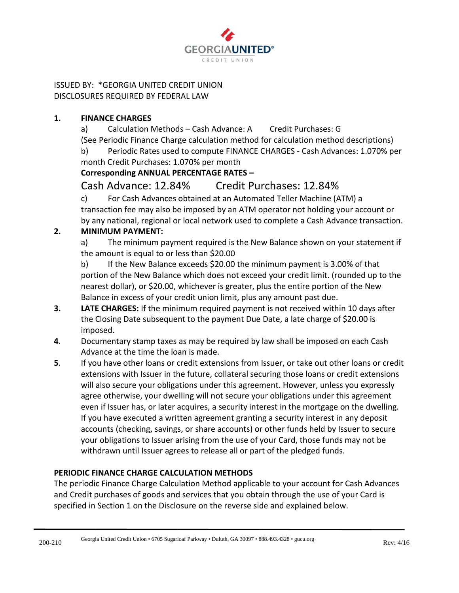

ISSUED BY: \*GEORGIA UNITED CREDIT UNION DISCLOSURES REQUIRED BY FEDERAL LAW

### **1. FINANCE CHARGES**

a) Calculation Methods – Cash Advance: A Credit Purchases: G (See Periodic Finance Charge calculation method for calculation method descriptions)

b) Periodic Rates used to compute FINANCE CHARGES - Cash Advances: 1.070% per month Credit Purchases: 1.070% per month

# **Corresponding ANNUAL PERCENTAGE RATES –**

# Cash Advance: 12.84% Credit Purchases: 12.84%

c) For Cash Advances obtained at an Automated Teller Machine (ATM) a transaction fee may also be imposed by an ATM operator not holding your account or by any national, regional or local network used to complete a Cash Advance transaction.

# **2. MINIMUM PAYMENT:**

a) The minimum payment required is the New Balance shown on your statement if the amount is equal to or less than \$20.00

b) If the New Balance exceeds \$20.00 the minimum payment is 3.00% of that portion of the New Balance which does not exceed your credit limit. (rounded up to the nearest dollar), or \$20.00, whichever is greater, plus the entire portion of the New Balance in excess of your credit union limit, plus any amount past due.

- **3. LATE CHARGES:** If the minimum required payment is not received within 10 days after the Closing Date subsequent to the payment Due Date, a late charge of \$20.00 is imposed.
- **4**. Documentary stamp taxes as may be required by law shall be imposed on each Cash Advance at the time the loan is made.
- **5**. If you have other loans or credit extensions from Issuer, or take out other loans or credit extensions with Issuer in the future, collateral securing those loans or credit extensions will also secure your obligations under this agreement. However, unless you expressly agree otherwise, your dwelling will not secure your obligations under this agreement even if Issuer has, or later acquires, a security interest in the mortgage on the dwelling. If you have executed a written agreement granting a security interest in any deposit accounts (checking, savings, or share accounts) or other funds held by Issuer to secure your obligations to Issuer arising from the use of your Card, those funds may not be withdrawn until Issuer agrees to release all or part of the pledged funds.

# **PERIODIC FINANCE CHARGE CALCULATION METHODS**

The periodic Finance Charge Calculation Method applicable to your account for Cash Advances and Credit purchases of goods and services that you obtain through the use of your Card is specified in Section 1 on the Disclosure on the reverse side and explained below.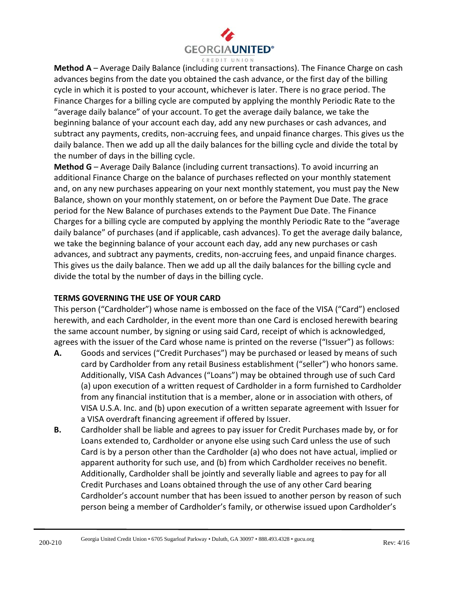

**Method A** – Average Daily Balance (including current transactions). The Finance Charge on cash advances begins from the date you obtained the cash advance, or the first day of the billing cycle in which it is posted to your account, whichever is later. There is no grace period. The Finance Charges for a billing cycle are computed by applying the monthly Periodic Rate to the "average daily balance" of your account. To get the average daily balance, we take the beginning balance of your account each day, add any new purchases or cash advances, and subtract any payments, credits, non-accruing fees, and unpaid finance charges. This gives us the daily balance. Then we add up all the daily balances for the billing cycle and divide the total by the number of days in the billing cycle.

**Method G** – Average Daily Balance (including current transactions). To avoid incurring an additional Finance Charge on the balance of purchases reflected on your monthly statement and, on any new purchases appearing on your next monthly statement, you must pay the New Balance, shown on your monthly statement, on or before the Payment Due Date. The grace period for the New Balance of purchases extends to the Payment Due Date. The Finance Charges for a billing cycle are computed by applying the monthly Periodic Rate to the "average daily balance" of purchases (and if applicable, cash advances). To get the average daily balance, we take the beginning balance of your account each day, add any new purchases or cash advances, and subtract any payments, credits, non-accruing fees, and unpaid finance charges. This gives us the daily balance. Then we add up all the daily balances for the billing cycle and divide the total by the number of days in the billing cycle.

### **TERMS GOVERNING THE USE OF YOUR CARD**

This person ("Cardholder") whose name is embossed on the face of the VISA ("Card") enclosed herewith, and each Cardholder, in the event more than one Card is enclosed herewith bearing the same account number, by signing or using said Card, receipt of which is acknowledged, agrees with the issuer of the Card whose name is printed on the reverse ("Issuer") as follows:

- **A.** Goods and services ("Credit Purchases") may be purchased or leased by means of such card by Cardholder from any retail Business establishment ("seller") who honors same. Additionally, VISA Cash Advances ("Loans") may be obtained through use of such Card (a) upon execution of a written request of Cardholder in a form furnished to Cardholder from any financial institution that is a member, alone or in association with others, of VISA U.S.A. Inc. and (b) upon execution of a written separate agreement with Issuer for a VISA overdraft financing agreement if offered by Issuer.
- **B.** Cardholder shall be liable and agrees to pay issuer for Credit Purchases made by, or for Loans extended to, Cardholder or anyone else using such Card unless the use of such Card is by a person other than the Cardholder (a) who does not have actual, implied or apparent authority for such use, and (b) from which Cardholder receives no benefit. Additionally, Cardholder shall be jointly and severally liable and agrees to pay for all Credit Purchases and Loans obtained through the use of any other Card bearing Cardholder's account number that has been issued to another person by reason of such person being a member of Cardholder's family, or otherwise issued upon Cardholder's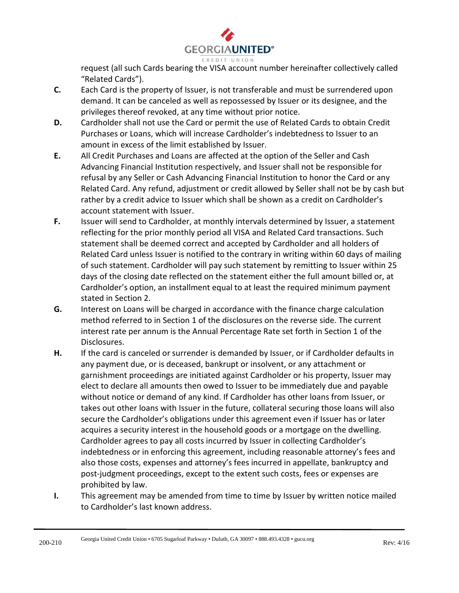

request (all such Cards bearing the VISA account number hereinafter collectively called "Related Cards").

- **C.** Each Card is the property of Issuer, is not transferable and must be surrendered upon demand. It can be canceled as well as repossessed by Issuer or its designee, and the privileges thereof revoked, at any time without prior notice.
- **D.** Cardholder shall not use the Card or permit the use of Related Cards to obtain Credit Purchases or Loans, which will increase Cardholder's indebtedness to Issuer to an amount in excess of the limit established by Issuer.
- **E.** All Credit Purchases and Loans are affected at the option of the Seller and Cash Advancing Financial Institution respectively, and Issuer shall not be responsible for refusal by any Seller or Cash Advancing Financial Institution to honor the Card or any Related Card. Any refund, adjustment or credit allowed by Seller shall not be by cash but rather by a credit advice to Issuer which shall be shown as a credit on Cardholder's account statement with Issuer.
- **F.** Issuer will send to Cardholder, at monthly intervals determined by Issuer, a statement reflecting for the prior monthly period all VISA and Related Card transactions. Such statement shall be deemed correct and accepted by Cardholder and all holders of Related Card unless Issuer is notified to the contrary in writing within 60 days of mailing of such statement. Cardholder will pay such statement by remitting to Issuer within 25 days of the closing date reflected on the statement either the full amount billed or, at Cardholder's option, an installment equal to at least the required minimum payment stated in Section 2.
- **G.** Interest on Loans will be charged in accordance with the finance charge calculation method referred to in Section 1 of the disclosures on the reverse side. The current interest rate per annum is the Annual Percentage Rate set forth in Section 1 of the Disclosures.
- H. If the card is canceled or surrender is demanded by Issuer, or if Cardholder defaults in any payment due, or is deceased, bankrupt or insolvent, or any attachment or garnishment proceedings are initiated against Cardholder or his property, Issuer may elect to declare all amounts then owed to Issuer to be immediately due and payable without notice or demand of any kind. If Cardholder has other loans from Issuer, or takes out other loans with Issuer in the future, collateral securing those loans will also secure the Cardholder's obligations under this agreement even if Issuer has or later acquires a security interest in the household goods or a mortgage on the dwelling. Cardholder agrees to pay all costs incurred by Issuer in collecting Cardholder's indebtedness or in enforcing this agreement, including reasonable attorney's fees and also those costs, expenses and attorney's fees incurred in appellate, bankruptcy and post-judgment proceedings, except to the extent such costs, fees or expenses are prohibited by law.
- **I.** This agreement may be amended from time to time by Issuer by written notice mailed to Cardholder's last known address.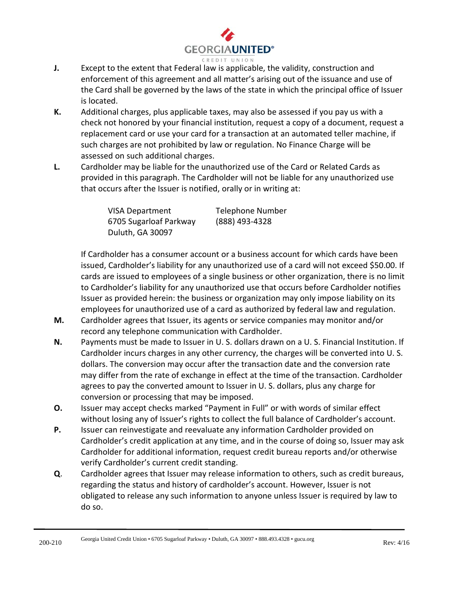

- **J.** Except to the extent that Federal law is applicable, the validity, construction and enforcement of this agreement and all matter's arising out of the issuance and use of the Card shall be governed by the laws of the state in which the principal office of Issuer is located.
- **K.** Additional charges, plus applicable taxes, may also be assessed if you pay us with a check not honored by your financial institution, request a copy of a document, request a replacement card or use your card for a transaction at an automated teller machine, if such charges are not prohibited by law or regulation. No Finance Charge will be assessed on such additional charges.
- **L.** Cardholder may be liable for the unauthorized use of the Card or Related Cards as provided in this paragraph. The Cardholder will not be liable for any unauthorized use that occurs after the Issuer is notified, orally or in writing at:

| <b>VISA Department</b> | Telephone Number |
|------------------------|------------------|
| 6705 Sugarloaf Parkway | (888) 493-4328   |
| Duluth, GA 30097       |                  |

If Cardholder has a consumer account or a business account for which cards have been issued, Cardholder's liability for any unauthorized use of a card will not exceed \$50.00. If cards are issued to employees of a single business or other organization, there is no limit to Cardholder's liability for any unauthorized use that occurs before Cardholder notifies Issuer as provided herein: the business or organization may only impose liability on its employees for unauthorized use of a card as authorized by federal law and regulation.

- **M.** Cardholder agrees that Issuer, its agents or service companies may monitor and/or record any telephone communication with Cardholder.
- **N.** Payments must be made to Issuer in U. S. dollars drawn on a U. S. Financial Institution. If Cardholder incurs charges in any other currency, the charges will be converted into U. S. dollars. The conversion may occur after the transaction date and the conversion rate may differ from the rate of exchange in effect at the time of the transaction. Cardholder agrees to pay the converted amount to Issuer in U. S. dollars, plus any charge for conversion or processing that may be imposed.
- **O.** Issuer may accept checks marked "Payment in Full" or with words of similar effect without losing any of Issuer's rights to collect the full balance of Cardholder's account.
- **P.** Issuer can reinvestigate and reevaluate any information Cardholder provided on Cardholder's credit application at any time, and in the course of doing so, Issuer may ask Cardholder for additional information, request credit bureau reports and/or otherwise verify Cardholder's current credit standing.
- **Q**. Cardholder agrees that Issuer may release information to others, such as credit bureaus, regarding the status and history of cardholder's account. However, Issuer is not obligated to release any such information to anyone unless Issuer is required by law to do so.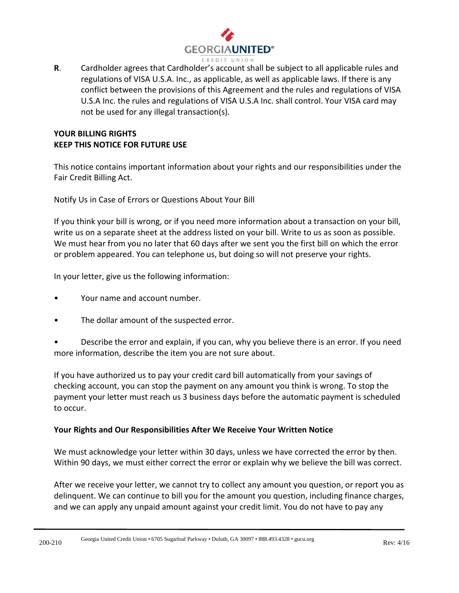

**R**. Cardholder agrees that Cardholder's account shall be subject to all applicable rules and regulations of VISA U.S.A. Inc., as applicable, as well as applicable laws. If there is any conflict between the provisions of this Agreement and the rules and regulations of VISA U.S.A Inc. the rules and regulations of VISA U.S.A Inc. shall control. Your VISA card may not be used for any illegal transaction(s).

# **YOUR BILLING RIGHTS KEEP THIS NOTICE FOR FUTURE USE**

This notice contains important information about your rights and our responsibilities under the Fair Credit Billing Act.

Notify Us in Case of Errors or Questions About Your Bill

If you think your bill is wrong, or if you need more information about a transaction on your bill, write us on a separate sheet at the address listed on your bill. Write to us as soon as possible. We must hear from you no later that 60 days after we sent you the first bill on which the error or problem appeared. You can telephone us, but doing so will not preserve your rights.

In your letter, give us the following information:

- Your name and account number.
- The dollar amount of the suspected error.

• Describe the error and explain, if you can, why you believe there is an error. If you need more information, describe the item you are not sure about.

If you have authorized us to pay your credit card bill automatically from your savings of checking account, you can stop the payment on any amount you think is wrong. To stop the payment your letter must reach us 3 business days before the automatic payment is scheduled to occur.

#### **Your Rights and Our Responsibilities After We Receive Your Written Notice**

We must acknowledge your letter within 30 days, unless we have corrected the error by then. Within 90 days, we must either correct the error or explain why we believe the bill was correct.

After we receive your letter, we cannot try to collect any amount you question, or report you as delinquent. We can continue to bill you for the amount you question, including finance charges, and we can apply any unpaid amount against your credit limit. You do not have to pay any